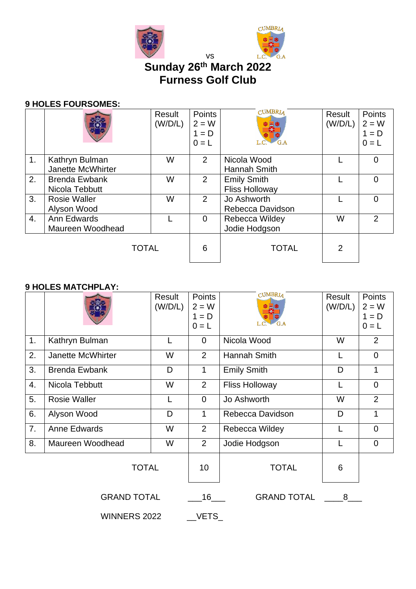



# **Sunday 26 th March 2022 Furness Golf Club**

vs

### **9 HOLES FOURSOMES:**

|    |                      | Result<br>(W/D/L) | <b>Points</b><br>$2 = W$<br>$1 = D$<br>$0 = L$ | <b>CUMBRIA</b><br>G.A | Result<br>(W/D/L) | Points<br>$2 = W$<br>$1 = D$<br>$0 = L$ |
|----|----------------------|-------------------|------------------------------------------------|-----------------------|-------------------|-----------------------------------------|
| 1. | Kathryn Bulman       | W                 | 2                                              | Nicola Wood           |                   | 0                                       |
|    | Janette McWhirter    |                   |                                                | Hannah Smith          |                   |                                         |
| 2. | <b>Brenda Ewbank</b> | W                 | 2                                              | <b>Emily Smith</b>    |                   | 0                                       |
|    | Nicola Tebbutt       |                   |                                                | <b>Fliss Holloway</b> |                   |                                         |
| 3. | <b>Rosie Waller</b>  | W                 | 2                                              | Jo Ashworth           |                   | 0                                       |
|    | Alyson Wood          |                   |                                                | Rebecca Davidson      |                   |                                         |
| 4. | Ann Edwards          |                   | $\overline{0}$                                 | Rebecca Wildey        | W                 | $\overline{2}$                          |
|    | Maureen Woodhead     |                   |                                                | Jodie Hodgson         |                   |                                         |
|    | <b>TOTAL</b>         |                   | 6                                              | <b>TOTAL</b>          | 2                 |                                         |

## **9 HOLES MATCHPLAY:**

|                     |                      | Result<br>(W/D/L) | Points<br>$2 = W$<br>$1 = D$<br>$0 = L$ | <b>CUMBRIA</b><br>G.A | Result<br>(W/D/L) | Points<br>$2 = W$<br>$1 = D$<br>$0 = L$ |
|---------------------|----------------------|-------------------|-----------------------------------------|-----------------------|-------------------|-----------------------------------------|
| 1.                  | Kathryn Bulman       |                   | 0                                       | Nicola Wood           | W                 | 2                                       |
| 2.                  | Janette McWhirter    | W                 | $\overline{2}$                          | Hannah Smith          | L                 | $\Omega$                                |
| 3.                  | <b>Brenda Ewbank</b> | D                 | $\mathbf{1}$                            | <b>Emily Smith</b>    | D                 | 1                                       |
| 4.                  | Nicola Tebbutt       | W                 | $\overline{2}$                          | <b>Fliss Holloway</b> | L                 | $\overline{0}$                          |
| 5.                  | Rosie Waller         |                   | $\overline{0}$                          | Jo Ashworth           | W                 | $\overline{2}$                          |
| 6.                  | Alyson Wood          | D                 | 1                                       | Rebecca Davidson      | D                 | 1                                       |
| 7.                  | Anne Edwards         | W                 | $\overline{2}$                          | Rebecca Wildey        | L                 | $\overline{0}$                          |
| 8.                  | Maureen Woodhead     | W                 | 2                                       | Jodie Hodgson         | L                 | $\mathbf 0$                             |
|                     | <b>TOTAL</b>         |                   | 10                                      | <b>TOTAL</b>          | 6                 |                                         |
|                     | <b>GRAND TOTAL</b>   |                   | $16$ <sub>____</sub>                    | <b>GRAND TOTAL</b>    | 8                 |                                         |
| <b>WINNERS 2022</b> |                      |                   |                                         | VETS                  |                   |                                         |